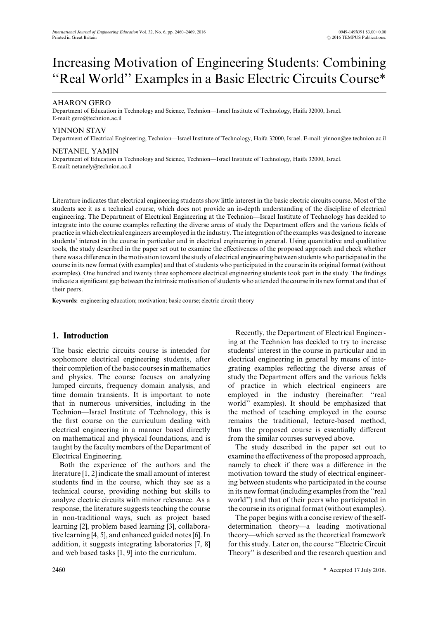# Increasing Motivation of Engineering Students: Combining ''Real World'' Examples in a Basic Electric Circuits Course\*

# AHARON GERO

Department of Education in Technology and Science, Technion—Israel Institute of Technology, Haifa 32000, Israel. E-mail: gero@technion.ac.il

## YINNON STAV

Department of Electrical Engineering, Technion—Israel Institute of Technology, Haifa 32000, Israel. E-mail: yinnon@ee.technion.ac.il

# NETANEL YAMIN

Department of Education in Technology and Science, Technion—Israel Institute of Technology, Haifa 32000, Israel. E-mail: netanely@technion.ac.il

Literature indicates that electrical engineering students show little interest in the basic electric circuits course. Most of the students see it as a technical course, which does not provide an in-depth understanding of the discipline of electrical engineering. The Department of Electrical Engineering at the Technion—Israel Institute of Technology has decided to integrate into the course examples reflecting the diverse areas of study the Department offers and the various fields of practice in which electrical engineers are employed in the industry. The integration of the examples was designed to increase students' interest in the course in particular and in electrical engineering in general. Using quantitative and qualitative tools, the study described in the paper set out to examine the effectiveness of the proposed approach and check whether there was a difference in the motivation toward the study of electrical engineering between students who participated in the course in its new format (with examples) and that of students who participated in the course in its original format (without examples). One hundred and twenty three sophomore electrical engineering students took part in the study. The findings indicate a significant gap between the intrinsic motivation of students who attended the course in its new format and that of their peers.

**Keywords:** engineering education; motivation; basic course; electric circuit theory

# **1. Introduction**

The basic electric circuits course is intended for sophomore electrical engineering students, after their completion of the basic courses in mathematics and physics. The course focuses on analyzing lumped circuits, frequency domain analysis, and time domain transients. It is important to note that in numerous universities, including in the Technion—Israel Institute of Technology, this is the first course on the curriculum dealing with electrical engineering in a manner based directly on mathematical and physical foundations, and is taught by the faculty members of the Department of Electrical Engineering.

Both the experience of the authors and the literature [1, 2] indicate the small amount of interest students find in the course, which they see as a technical course, providing nothing but skills to analyze electric circuits with minor relevance. As a response, the literature suggests teaching the course in non-traditional ways, such as project based learning [2], problem based learning [3], collaborative learning [4, 5], and enhanced guided notes [6]. In addition, it suggests integrating laboratories [7, 8] and web based tasks [1, 9] into the curriculum.

Recently, the Department of Electrical Engineering at the Technion has decided to try to increase students' interest in the course in particular and in electrical engineering in general by means of integrating examples reflecting the diverse areas of study the Department offers and the various fields of practice in which electrical engineers are employed in the industry (hereinafter: "real world'' examples). It should be emphasized that the method of teaching employed in the course remains the traditional, lecture-based method, thus the proposed course is essentially different from the similar courses surveyed above.

The study described in the paper set out to examine the effectiveness of the proposed approach, namely to check if there was a difference in the motivation toward the study of electrical engineering between students who participated in the course in its new format (including examples from the ''real world'') and that of their peers who participated in the course in its original format (without examples).

The paper begins with a concise review of the selfdetermination theory—a leading motivational theory—which served as the theoretical framework for this study. Later on, the course ''Electric Circuit Theory'' is described and the research question and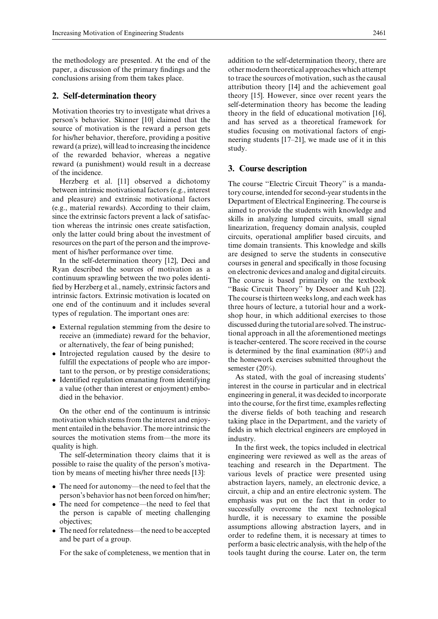the methodology are presented. At the end of the paper, a discussion of the primary findings and the conclusions arising from them takes place.

## **2. Self-determination theory**

Motivation theories try to investigate what drives a person's behavior. Skinner [10] claimed that the source of motivation is the reward a person gets for his/her behavior, therefore, providing a positive reward (a prize), will lead to increasing the incidence of the rewarded behavior, whereas a negative reward (a punishment) would result in a decrease of the incidence.

Herzberg et al. [11] observed a dichotomy between intrinsic motivational factors (e.g., interest and pleasure) and extrinsic motivational factors (e.g., material rewards). According to their claim, since the extrinsic factors prevent a lack of satisfaction whereas the intrinsic ones create satisfaction, only the latter could bring about the investment of resources on the part of the person and the improvement of his/her performance over time.

In the self-determination theory [12], Deci and Ryan described the sources of motivation as a continuum sprawling between the two poles identified by Herzberg et al., namely, extrinsic factors and intrinsic factors. Extrinsic motivation is located on one end of the continuum and it includes several types of regulation. The important ones are:

- External regulation stemming from the desire to receive an (immediate) reward for the behavior, or alternatively, the fear of being punished;
- Introjected regulation caused by the desire to fulfill the expectations of people who are important to the person, or by prestige considerations;
- Identified regulation emanating from identifying a value (other than interest or enjoyment) embodied in the behavior.

On the other end of the continuum is intrinsic motivation which stems from the interest and enjoyment entailed in the behavior. The more intrinsic the sources the motivation stems from—the more its quality is high.

The self-determination theory claims that it is possible to raise the quality of the person's motivation by means of meeting his/her three needs [13]:

- The need for autonomy—the need to feel that the person's behavior has not been forced on him/her;
- The need for competence—the need to feel that the person is capable of meeting challenging objectives;
- The need for relatedness—the need to be accepted and be part of a group.

For the sake of completeness, we mention that in

addition to the self-determination theory, there are other modern theoretical approaches which attempt to trace the sources of motivation, such as the causal attribution theory [14] and the achievement goal theory [15]. However, since over recent years the self-determination theory has become the leading theory in the field of educational motivation [16], and has served as a theoretical framework for studies focusing on motivational factors of engineering students [17–21], we made use of it in this study.

# **3. Course description**

The course "Electric Circuit Theory" is a mandatory course, intended for second-year students in the Department of Electrical Engineering. The course is aimed to provide the students with knowledge and skills in analyzing lumped circuits, small signal linearization, frequency domain analysis, coupled circuits, operational amplifier based circuits, and time domain transients. This knowledge and skills are designed to serve the students in consecutive courses in general and specifically in those focusing on electronic devices and analog and digital circuits. The course is based primarily on the textbook ''Basic Circuit Theory'' by Desoer and Kuh [22]. The course is thirteen weeks long, and each week has three hours of lecture, a tutorial hour and a workshop hour, in which additional exercises to those discussed during the tutorial are solved. The instructional approach in all the aforementioned meetings is teacher-centered. The score received in the course is determined by the final examination (80%) and the homework exercises submitted throughout the semester (20%).

As stated, with the goal of increasing students' interest in the course in particular and in electrical engineering in general, it was decided to incorporate into the course, for the first time, examples reflecting the diverse fields of both teaching and research taking place in the Department, and the variety of fields in which electrical engineers are employed in industry.

In the first week, the topics included in electrical engineering were reviewed as well as the areas of teaching and research in the Department. The various levels of practice were presented using abstraction layers, namely, an electronic device, a circuit, a chip and an entire electronic system. The emphasis was put on the fact that in order to successfully overcome the next technological hurdle, it is necessary to examine the possible assumptions allowing abstraction layers, and in order to redefine them, it is necessary at times to perform a basic electric analysis, with the help of the tools taught during the course. Later on, the term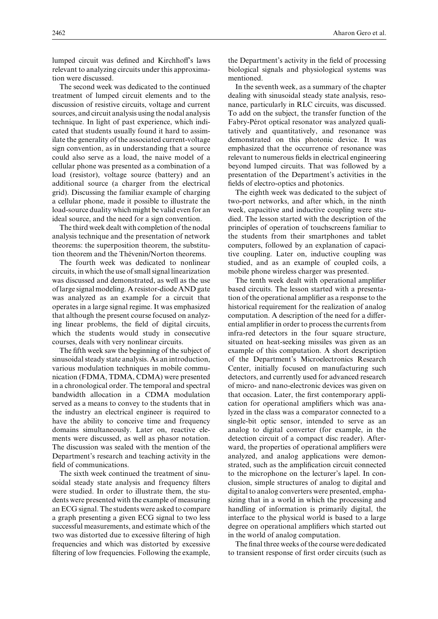lumped circuit was defined and Kirchhoff's laws relevant to analyzing circuits under this approximation were discussed.

The second week was dedicated to the continued treatment of lumped circuit elements and to the discussion of resistive circuits, voltage and current sources, and circuit analysis using the nodal analysis technique. In light of past experience, which indicated that students usually found it hard to assimilate the generality of the associated current-voltage sign convention, as in understanding that a source could also serve as a load, the naive model of a cellular phone was presented as a combination of a load (resistor), voltage source (battery) and an additional source (a charger from the electrical grid). Discussing the familiar example of charging a cellular phone, made it possible to illustrate the load-source duality which might be valid even for an ideal source, and the need for a sign convention.

The third week dealt with completion of the nodal analysis technique and the presentation of network theorems: the superposition theorem, the substitution theorem and the Thévenin/Norton theorems.

The fourth week was dedicated to nonlinear circuits, in which the use of small signal linearization was discussed and demonstrated, as well as the use of large signal modeling. A resistor-diode AND gate was analyzed as an example for a circuit that operates in a large signal regime. It was emphasized that although the present course focused on analyzing linear problems, the field of digital circuits, which the students would study in consecutive courses, deals with very nonlinear circuits.

The fifth week saw the beginning of the subject of sinusoidal steady state analysis. As an introduction, various modulation techniques in mobile communication (FDMA, TDMA, CDMA) were presented in a chronological order. The temporal and spectral bandwidth allocation in a CDMA modulation served as a means to convey to the students that in the industry an electrical engineer is required to have the ability to conceive time and frequency domains simultaneously. Later on, reactive elements were discussed, as well as phasor notation. The discussion was sealed with the mention of the Department's research and teaching activity in the field of communications.

The sixth week continued the treatment of sinusoidal steady state analysis and frequency filters were studied. In order to illustrate them, the students were presented with the example of measuring an ECG signal. The students were asked to compare a graph presenting a given ECG signal to two less successful measurements, and estimate which of the two was distorted due to excessive filtering of high frequencies and which was distorted by excessive filtering of low frequencies. Following the example,

the Department's activity in the field of processing biological signals and physiological systems was mentioned.

In the seventh week, as a summary of the chapter dealing with sinusoidal steady state analysis, resonance, particularly in RLC circuits, was discussed. To add on the subject, the transfer function of the Fabry-Pérot optical resonator was analyzed qualitatively and quantitatively, and resonance was demonstrated on this photonic device. It was emphasized that the occurrence of resonance was relevant to numerous fields in electrical engineering beyond lumped circuits. That was followed by a presentation of the Department's activities in the fields of electro-optics and photonics.

The eighth week was dedicated to the subject of two-port networks, and after which, in the ninth week, capacitive and inductive coupling were studied. The lesson started with the description of the principles of operation of touchscreens familiar to the students from their smartphones and tablet computers, followed by an explanation of capacitive coupling. Later on, inductive coupling was studied, and as an example of coupled coils, a mobile phone wireless charger was presented.

The tenth week dealt with operational amplifier based circuits. The lesson started with a presentation of the operational amplifier as a response to the historical requirement for the realization of analog computation. A description of the need for a differential amplifier in order to process the currents from infra-red detectors in the four square structure, situated on heat-seeking missiles was given as an example of this computation. A short description of the Department's Microelectronics Research Center, initially focused on manufacturing such detectors, and currently used for advanced research of micro- and nano-electronic devices was given on that occasion. Later, the first contemporary application for operational amplifiers which was analyzed in the class was a comparator connected to a single-bit optic sensor, intended to serve as an analog to digital converter (for example, in the detection circuit of a compact disc reader). Afterward, the properties of operational amplifiers were analyzed, and analog applications were demonstrated, such as the amplification circuit connected to the microphone on the lecturer's lapel. In conclusion, simple structures of analog to digital and digital to analog converters were presented, emphasizing that in a world in which the processing and handling of information is primarily digital, the interface to the physical world is based to a large degree on operational amplifiers which started out in the world of analog computation.

The final three weeks of the course were dedicated to transient response of first order circuits (such as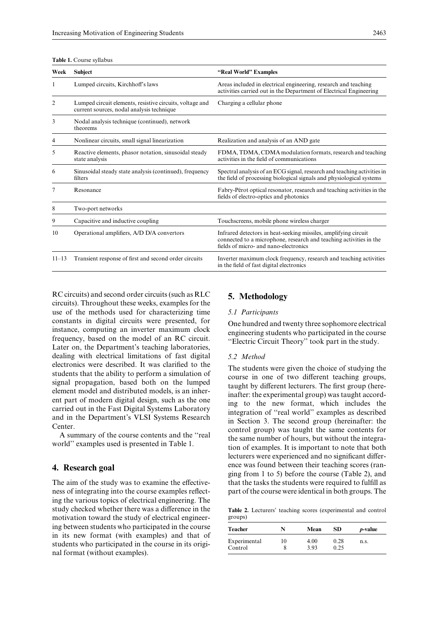| Week           | <b>Subject</b>                                                                                        | "Real World" Examples                                                                                                                                                          |  |
|----------------|-------------------------------------------------------------------------------------------------------|--------------------------------------------------------------------------------------------------------------------------------------------------------------------------------|--|
| 1              | Lumped circuits, Kirchhoff's laws                                                                     | Areas included in electrical engineering, research and teaching<br>activities carried out in the Department of Electrical Engineering                                          |  |
| $\overline{2}$ | Lumped circuit elements, resistive circuits, voltage and<br>current sources, nodal analysis technique | Charging a cellular phone                                                                                                                                                      |  |
| 3              | Nodal analysis technique (continued), network<br>theorems                                             |                                                                                                                                                                                |  |
| 4              | Nonlinear circuits, small signal linearization                                                        | Realization and analysis of an AND gate                                                                                                                                        |  |
| 5              | Reactive elements, phasor notation, sinusoidal steady<br>state analysis                               | FDMA, TDMA, CDMA modulation formats, research and teaching<br>activities in the field of communications                                                                        |  |
| 6              | Sinusoidal steady state analysis (continued), frequency<br>filters                                    | Spectral analysis of an ECG signal, research and teaching activities in<br>the field of processing biological signals and physiological systems                                |  |
| 7              | Resonance                                                                                             | Fabry-Pérot optical resonator, research and teaching activities in the<br>fields of electro-optics and photonics                                                               |  |
| 8              | Two-port networks                                                                                     |                                                                                                                                                                                |  |
| 9              | Capacitive and inductive coupling                                                                     | Touchscreens, mobile phone wireless charger                                                                                                                                    |  |
| 10             | Operational amplifiers, A/D D/A convertors                                                            | Infrared detectors in heat-seeking missiles, amplifying circuit<br>connected to a microphone, research and teaching activities in the<br>fields of micro- and nano-electronics |  |
| $11 - 13$      | Transient response of first and second order circuits                                                 | Inverter maximum clock frequency, research and teaching activities<br>in the field of fast digital electronics                                                                 |  |

**Table 1.** Course syllabus

RC circuits) and second order circuits (such as RLC circuits). Throughout these weeks, examples for the use of the methods used for characterizing time constants in digital circuits were presented, for instance, computing an inverter maximum clock frequency, based on the model of an RC circuit. Later on, the Department's teaching laboratories, dealing with electrical limitations of fast digital electronics were described. It was clarified to the students that the ability to perform a simulation of signal propagation, based both on the lumped element model and distributed models, is an inherent part of modern digital design, such as the one carried out in the Fast Digital Systems Laboratory and in the Department's VLSI Systems Research Center.

A summary of the course contents and the ''real world'' examples used is presented in Table 1.

# **4. Research goal**

The aim of the study was to examine the effectiveness of integrating into the course examples reflecting the various topics of electrical engineering. The study checked whether there was a difference in the motivation toward the study of electrical engineering between students who participated in the course in its new format (with examples) and that of students who participated in the course in its original format (without examples).

## **5. Methodology**

#### *5.1 Participants*

One hundred and twenty three sophomore electrical engineering students who participated in the course ''Electric Circuit Theory'' took part in the study.

#### *5.2 Method*

The students were given the choice of studying the course in one of two different teaching groups, taught by different lecturers. The first group (hereinafter: the experimental group) was taught according to the new format, which includes the integration of ''real world'' examples as described in Section 3. The second group (hereinafter: the control group) was taught the same contents for the same number of hours, but without the integration of examples. It is important to note that both lecturers were experienced and no significant difference was found between their teaching scores (ranging from 1 to 5) before the course (Table 2), and that the tasks the students were required to fulfill as part of the course were identical in both groups. The

**Table 2.** Lecturers' teaching scores (experimental and control groups)

| <b>Teacher</b>          | N  | Mean        | SD           | <i>p</i> -value |
|-------------------------|----|-------------|--------------|-----------------|
| Experimental<br>Control | 10 | 4.00<br>393 | 0.28<br>0.25 | n.s.            |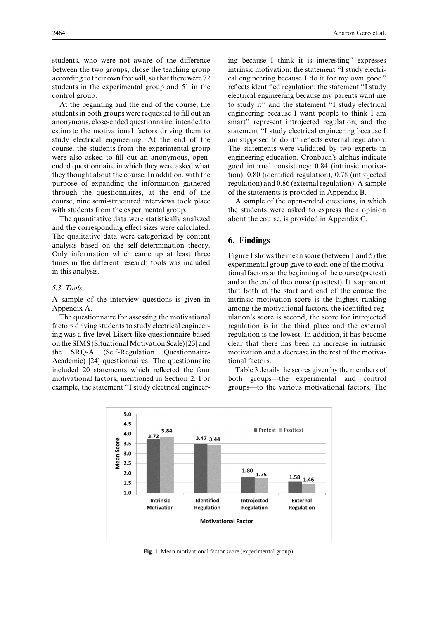students, who were not aware of the difference between the two groups, chose the teaching group according to their own free will, so that there were 72 students in the experimental group and 51 in the control group.

At the beginning and the end of the course, the students in both groups were requested to fill out an anonymous, close-ended questionnaire, intended to estimate the motivational factors driving them to study electrical engineering. At the end of the course, the students from the experimental group were also asked to fill out an anonymous, openended questionnaire in which they were asked what they thought about the course. In addition, with the purpose of expanding the information gathered through the questionnaires, at the end of the course, nine semi-structured interviews took place with students from the experimental group.

The quantitative data were statistically analyzed and the corresponding effect sizes were calculated. The qualitative data were categorized by content analysis based on the self-determination theory. Only information which came up at least three times in the different research tools was included in this analysis.

## *5.3 Tools*

A sample of the interview questions is given in Appendix A.

The questionnaire for assessing the motivational factors driving students to study electrical engineering was a five-level Likert-like questionnaire based on the SIMS (Situational Motivation Scale) [23] and the SRQ-A (Self-Regulation Questionnaire-Academic) [24] questionnaires. The questionnaire included 20 statements which reflected the four motivational factors, mentioned in Section 2. For example, the statement ''I study electrical engineering because I think it is interesting'' expresses intrinsic motivation; the statement ''I study electrical engineering because I do it for my own good'' reflects identified regulation; the statement ''I study electrical engineering because my parents want me to study it'' and the statement ''I study electrical engineering because I want people to think I am smart'' represent introjected regulation; and the statement ''I study electrical engineering because I am supposed to do it'' reflects external regulation. The statements were validated by two experts in engineering education. Cronbach's alphas indicate good internal consistency: 0.84 (intrinsic motivation), 0.80 (identified regulation), 0.78 (introjected regulation) and 0.86 (external regulation). A sample of the statements is provided in Appendix B.

A sample of the open-ended questions, in which the students were asked to express their opinion about the course, is provided in Appendix C.

# **6. Findings**

Figure 1 shows the mean score (between 1 and 5) the experimental group gave to each one of the motivational factors at the beginning of the course (pretest) and at the end of the course (posttest). It is apparent that both at the start and end of the course the intrinsic motivation score is the highest ranking among the motivational factors, the identified regulation's score is second, the score for introjected regulation is in the third place and the external regulation is the lowest. In addition, it has become clear that there has been an increase in intrinsic motivation and a decrease in the rest of the motivational factors.

Table 3 details the scores given by the members of both groups—the experimental and control groups—to the various motivational factors. The



**Fig. 1.** Mean motivational factor score (experimental group).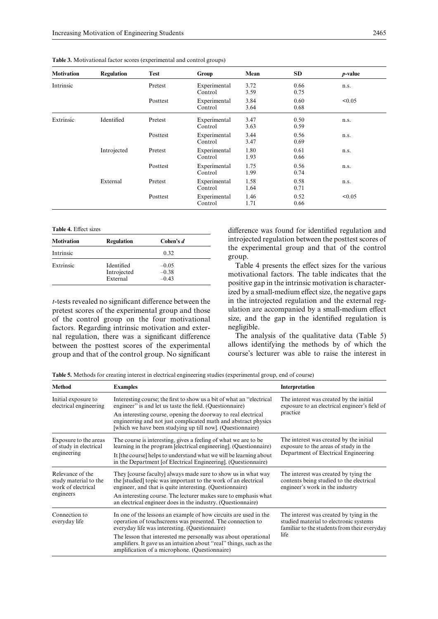| <b>Motivation</b> | <b>Regulation</b> | <b>Test</b> | Group                   | Mean         | SD           | <i>p</i> -value |
|-------------------|-------------------|-------------|-------------------------|--------------|--------------|-----------------|
| Intrinsic         |                   | Pretest     | Experimental<br>Control | 3.72<br>3.59 | 0.66<br>0.75 | n.s.            |
|                   |                   | Posttest    | Experimental<br>Control | 3.84<br>3.64 | 0.60<br>0.68 | < 0.05          |
| Extrinsic         | Identified        | Pretest     | Experimental<br>Control | 3.47<br>3.63 | 0.50<br>0.59 | n.s.            |
|                   |                   | Posttest    | Experimental<br>Control | 3.44<br>3.47 | 0.56<br>0.69 | n.s.            |
|                   | Introjected       | Pretest     | Experimental<br>Control | 1.80<br>1.93 | 0.61<br>0.66 | n.s.            |
|                   |                   | Posttest    | Experimental<br>Control | 1.75<br>1.99 | 0.56<br>0.74 | n.s.            |
|                   | External          | Pretest     | Experimental<br>Control | 1.58<br>1.64 | 0.58<br>0.71 | n.s.            |
|                   |                   | Posttest    | Experimental<br>Control | 1.46<br>1.71 | 0.52<br>0.66 | < 0.05          |

**Table 3.** Motivational factor scores (experimental and control groups)

**Table 4.** Effect sizes

| <b>Motivation</b> | <b>Regulation</b>                     | Cohen's d                     |
|-------------------|---------------------------------------|-------------------------------|
| Intrinsic         |                                       | 0.32                          |
| Extrinsic         | Identified<br>Introjected<br>External | $-0.05$<br>$-0.38$<br>$-0.43$ |

*t*-tests revealed no significant difference between the pretest scores of the experimental group and those of the control group on the four motivational factors. Regarding intrinsic motivation and external regulation, there was a significant difference between the posttest scores of the experimental group and that of the control group. No significant difference was found for identified regulation and introjected regulation between the posttest scores of the experimental group and that of the control group.

Table 4 presents the effect sizes for the various motivational factors. The table indicates that the positive gap in the intrinsic motivation is characterized by a small-medium effect size, the negative gaps in the introjected regulation and the external regulation are accompanied by a small-medium effect size, and the gap in the identified regulation is negligible.

The analysis of the qualitative data (Table 5) allows identifying the methods by of which the course's lecturer was able to raise the interest in

**Table 5.** Methods for creating interest in electrical engineering studies (experimental group, end of course)

| <b>Method</b>                                                                                                                                                                                                                                                                                                                                   | <b>Examples</b>                                                                                                                                                                                                                                                                                                                                                              | Interpretation<br>The interest was created by the initial<br>exposure to an electrical engineer's field of<br>practice                     |  |
|-------------------------------------------------------------------------------------------------------------------------------------------------------------------------------------------------------------------------------------------------------------------------------------------------------------------------------------------------|------------------------------------------------------------------------------------------------------------------------------------------------------------------------------------------------------------------------------------------------------------------------------------------------------------------------------------------------------------------------------|--------------------------------------------------------------------------------------------------------------------------------------------|--|
| Initial exposure to<br>electrical engineering                                                                                                                                                                                                                                                                                                   | Interesting course; the first to show us a bit of what an "electrical"<br>engineer" is and let us taste the field. (Questionnaire)<br>An interesting course, opening the doorway to real electrical<br>engineering and not just complicated math and abstract physics<br>[which we have been studying up till now]. (Questionnaire)                                          |                                                                                                                                            |  |
| The course is interesting, gives a feeling of what we are to be.<br>Exposure to the areas<br>learning in the program [electrical engineering]. (Questionnaire)<br>of study in electrical<br>engineering<br>It [the course] helps to understand what we will be learning about<br>in the Department [of Electrical Engineering]. (Questionnaire) |                                                                                                                                                                                                                                                                                                                                                                              | The interest was created by the initial<br>exposure to the areas of study in the<br>Department of Electrical Engineering                   |  |
| Relevance of the<br>study material to the<br>work of electrical<br>engineers                                                                                                                                                                                                                                                                    | They [course faculty] always made sure to show us in what way<br>the [studied] topic was important to the work of an electrical<br>engineer, and that is quite interesting. (Questionnaire)<br>An interesting course. The lecturer makes sure to emphasis what<br>an electrical engineer does in the industry. (Questionnaire)                                               | The interest was created by tying the<br>contents being studied to the electrical<br>engineer's work in the industry                       |  |
| Connection to<br>everyday life                                                                                                                                                                                                                                                                                                                  | In one of the lessons an example of how circuits are used in the<br>operation of touchscreens was presented. The connection to<br>everyday life was interesting. (Questionnaire)<br>The lesson that interested me personally was about operational<br>amplifiers. It gave us an intuition about "real" things, such as the<br>amplification of a microphone. (Questionnaire) | The interest was created by tying in the<br>studied material to electronic systems<br>familiar to the students from their everyday<br>life |  |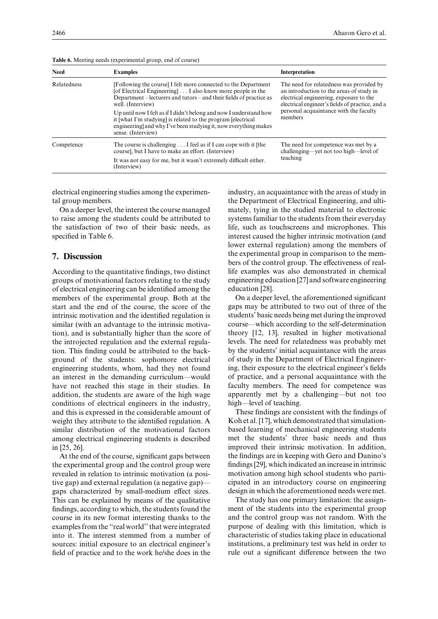| <b>Need</b> | <b>Examples</b>                                                                                                                                                                                                              | Interpretation                                                                                                                                                                     |  |
|-------------|------------------------------------------------------------------------------------------------------------------------------------------------------------------------------------------------------------------------------|------------------------------------------------------------------------------------------------------------------------------------------------------------------------------------|--|
| Relatedness | [Following the course] I felt more connected to the Department<br>[of Electrical Engineering] I also know more people in the<br>Department – lecturers and tutors – and their fields of practice as<br>well. (Interview)     | The need for relatedness was provided by<br>an introduction to the areas of study in<br>electrical engineering, exposure to the<br>electrical engineer's fields of practice, and a |  |
|             | Up until now I felt as if I didn't belong and now I understand how<br>it [what I'm studying] is related to the program [electrical]<br>engineering and why I've been studying it, now everything makes<br>sense. (Interview) | personal acquaintance with the faculty<br>members                                                                                                                                  |  |
| Competence  | The course is challenging I feel as if I can cope with it [the<br>coursel, but I have to make an effort. (Interview)                                                                                                         | The need for competence was met by a<br>challenging—yet not too high—level of                                                                                                      |  |
|             | It was not easy for me, but it wasn't extremely difficult either.<br>(Interview)                                                                                                                                             | teaching                                                                                                                                                                           |  |

**Table 6.** Meeting needs (experimental group, end of course)

electrical engineering studies among the experimental group members.

On a deeper level, the interest the course managed to raise among the students could be attributed to the satisfaction of two of their basic needs, as specified in Table 6.

# **7. Discussion**

According to the quantitative findings, two distinct groups of motivational factors relating to the study of electrical engineering can be identified among the members of the experimental group. Both at the start and the end of the course, the score of the intrinsic motivation and the identified regulation is similar (with an advantage to the intrinsic motivation), and is substantially higher than the score of the introjected regulation and the external regulation. This finding could be attributed to the background of the students: sophomore electrical engineering students, whom, had they not found an interest in the demanding curriculum—would have not reached this stage in their studies. In addition, the students are aware of the high wage conditions of electrical engineers in the industry, and this is expressed in the considerable amount of weight they attribute to the identified regulation. A similar distribution of the motivational factors among electrical engineering students is described in [25, 26].

At the end of the course, significant gaps between the experimental group and the control group were revealed in relation to intrinsic motivation (a positive gap) and external regulation (a negative gap) gaps characterized by small-medium effect sizes. This can be explained by means of the qualitative findings, according to which, the students found the course in its new format interesting thanks to the examples from the ''real world'' that were integrated into it. The interest stemmed from a number of sources: initial exposure to an electrical engineer's field of practice and to the work he/she does in the

industry, an acquaintance with the areas of study in the Department of Electrical Engineering, and ultimately, tying in the studied material to electronic systems familiar to the students from their everyday life, such as touchscreens and microphones. This interest caused the higher intrinsic motivation (and lower external regulation) among the members of the experimental group in comparison to the members of the control group. The effectiveness of reallife examples was also demonstrated in chemical engineering education [27] and software engineering education [28].

On a deeper level, the aforementioned significant gaps may be attributed to two out of three of the students' basic needs being met during the improved course—which according to the self-determination theory [12, 13], resulted in higher motivational levels. The need for relatedness was probably met by the students' initial acquaintance with the areas of study in the Department of Electrical Engineering, their exposure to the electrical engineer's fields of practice, and a personal acquaintance with the faculty members. The need for competence was apparently met by a challenging—but not too high—level of teaching.

These findings are consistent with the findings of Koh et al. [17], which demonstrated that simulationbased learning of mechanical engineering students met the students' three basic needs and thus improved their intrinsic motivation. In addition, the findings are in keeping with Gero and Danino's findings [29], which indicated an increase in intrinsic motivation among high school students who participated in an introductory course on engineering design in which the aforementioned needs were met.

The study has one primary limitation: the assignment of the students into the experimental group and the control group was not random. With the purpose of dealing with this limitation, which is characteristic of studies taking place in educational institutions, a preliminary test was held in order to rule out a significant difference between the two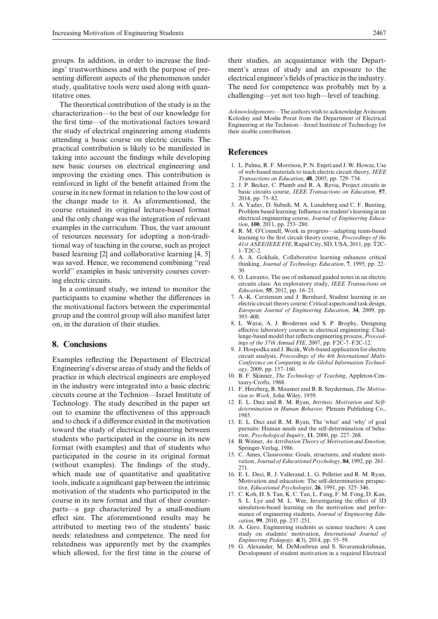groups. In addition, in order to increase the findings' trustworthiness and with the purpose of presenting different aspects of the phenomenon under study, qualitative tools were used along with quantitative ones.

The theoretical contribution of the study is in the characterization—to the best of our knowledge for the first time—of the motivational factors toward the study of electrical engineering among students attending a basic course on electric circuits. The practical contribution is likely to be manifested in taking into account the findings while developing new basic courses on electrical engineering and improving the existing ones. This contribution is reinforced in light of the benefit attained from the course in its new format in relation to the low cost of the change made to it. As aforementioned, the course retained its original lecture-based format and the only change was the integration of relevant examples in the curriculum. Thus, the vast amount of resources necessary for adopting a non-traditional way of teaching in the course, such as project based learning [2] and collaborative learning [4, 5] was saved. Hence, we recommend combining "real world'' examples in basic university courses covering electric circuits.

In a continued study, we intend to monitor the participants to examine whether the differences in the motivational factors between the experimental group and the control group will also manifest later on, in the duration of their studies.

## **8. Conclusions**

Examples reflecting the Department of Electrical Engineering's diverse areas of study and the fields of practice in which electrical engineers are employed in the industry were integrated into a basic electric circuits course at the Technion—Israel Institute of Technology. The study described in the paper set out to examine the effectiveness of this approach and to check if a difference existed in the motivation toward the study of electrical engineering between students who participated in the course in its new format (with examples) and that of students who participated in the course in its original format (without examples). The findings of the study, which made use of quantitative and qualitative tools, indicate a significant gap between the intrinsic motivation of the students who participated in the course in its new format and that of their counterparts—a gap characterized by a small-medium effect size. The aforementioned results may be attributed to meeting two of the students' basic needs: relatedness and competence. The need for relatedness was apparently met by the examples which allowed, for the first time in the course of their studies, an acquaintance with the Department's areas of study and an exposure to the electrical engineer's fields of practice in the industry. The need for competence was probably met by a challenging—yet not too high—level of teaching.

*Acknowledgements*—The authors wish to acknowledge Avinoam Kolodny and Moshe Porat from the Department of Electrical Engineering at the Technion—Israel Institute of Technology for their sizable contribution.

## **References**

- 1. L. Palma, R. F. Morrison, P. N. Enjeti and J. W. Howze, Use of web-based materials to teach electric circuit theory, *IEEE Transactions on Education*, **48**, 2005, pp. 729–734.
- 2. J. P. Becker, C. Plumb and R. A. Revia, Project circuits in basic circuits course, *IEEE Transactions on Education*, **57**, 2014, pp. 75–82.
- 3. A. Yadav, D. Subedi, M. A. Lundeberg and C. F. Bunting, Problem based learning: Influence on student's learning in an electrical engineering course, *Journal of Engineering Education*, **100**, 2011, pp. 253–280.
- 4. R. M. O'Connell, Work in progress—adapting team-based learning to the first circuit theory course, *Proceedings of the 41st ASEE/IEEE FIE*, Rapid City, SD, USA, 2011, pp. T2C-1–T2C-2.
- 5. A. A. Gokhale, Collaborative learning enhances critical thinking, *Journal of Technology Education*, **7**, 1995, pp. 22– 30.
- 6. O. Lawanto, The use of enhanced guided notes in an electric circuits class: An exploratory study, *IEEE Transactions on Education*, **55**, 2012, pp. 16–21.
- 7. A.-K. Carstensen and J. Bernhard, Student learning in an electric circuit theory course: Critical aspects and task design, *European Journal of Engineering Education*, **34**, 2009, pp. 393–408.
- 8. L. Watai, A. J. Brodersen and S. P. Brophy, Designing effective laboratory courses in electrical engineering: Challenge-based model that reflects engineering process, *Proceedings of the 37th Annual FIE*, 2007, pp. F2C-7–F2C-12.
- 9. J. Hospodka and J. Bicàk, Web-based application for electric circuit analysis, *Proceedings of the 4th International Multi-Conference on Computing in the Global Information Technology*, 2009, pp. 157–160.
- 10. B. F. Skinner, *The Technology of Teaching*, Appleton-Centaury-Crofts, 1968.
- 11. F. Herzberg, B. Mausner and B. B. Snyderman, *The Motivation to Work*, John Wiley, 1959.
- 12. E. L. Deci and R. M. Ryan, *Intrinsic Motivation and Selfdetermination in Human Behavior,* Plenum Publishing Co., 1985.
- 13. E. L. Deci and R. M. Ryan, The 'what' and 'why' of goal pursuits: Human needs and the self-determination of behavior, *Psychological Inquiry*, **11**, 2000, pp. 227–268.
- 14. B. Weiner, *An Attribution Theory of Motivation and Emotion*, Springer-Verlag, 1986.
- 15. C. Ames, Classrooms: Goals, structures, and student motivation, *Journal of Educational Psychology*, **84**, 1992, pp. 261– 271.
- 16. E. L. Deci, R. J. Vallerand, L. G. Pelletier and R. M. Ryan, Motivation and education: The self-determination perspective, *Educational Psychologist*, **26**, 1991, pp. 325–346.
- 17. C. Koh, H. S. Tan, K. C. Tan, L. Fang, F. M. Fong, D. Kan, S. L. Lye and M. L. Wee, Investigating the effect of 3D simulation-based learning on the motivation and performance of engineering students, *Journal of Engineering Education*, **99**, 2010, pp. 237–251.
- 18. A. Gero, Engineering students as science teachers: A case study on students' motivation, *International Journal of Engineering Pedagogy,* **4**(3), 2014, pp. 55–59.
- 19. G. Alexander, M. DeMonbrun and S. Sivaramakrishnan, Development of student motivation in a required Electrical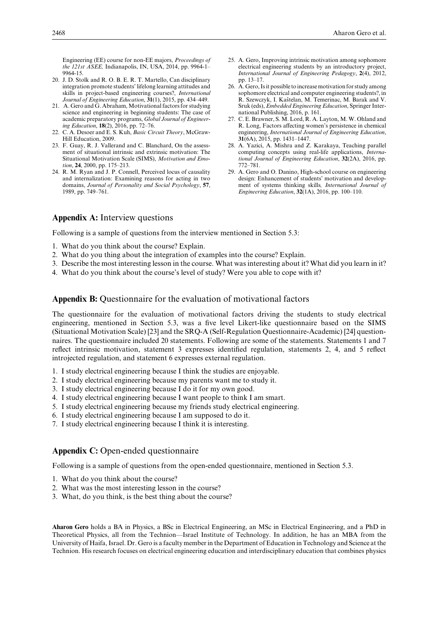Engineering (EE) course for non-EE majors, *Proceedings of the 121st ASEE,* Indianapolis, IN, USA, 2014, pp. 9964-1– 9964-15.

- 20. J. D. Stolk and R. O. B. E. R. T. Martello, Can disciplinary integration promote students' lifelong learning attitudes and skills in project-based engineering courses?, *International Journal of Engineering Education*, **31**(1), 2015, pp. 434–449.
- 21. A. Gero and G. Abraham, Motivational factors for studying science and engineering in beginning students: The case of academic preparatory programs, *Global Journal of Engineering Education*, **18**(2), 2016, pp. 72–76.
- 22. C. A. Desoer and E. S. Kuh, *Basic Circuit Theory*, McGraw-Hill Education, 2009.
- 23. F. Guay, R. J. Vallerand and C. Blanchard, On the assessment of situational intrinsic and extrinsic motivation: The Situational Motivation Scale (SIMS), *Motivation and Emotion*, **24**, 2000, pp. 175–213.
- 24. R. M. Ryan and J. P. Connell, Perceived locus of causality and internalization: Examining reasons for acting in two domains, *Journal of Personality and Social Psychology*, **57**, 1989, pp. 749–761.
- 25. A. Gero, Improving intrinsic motivation among sophomore electrical engineering students by an introductory project, *International Journal of Engineering Pedagogy*, **2**(4), 2012, pp. 13–17.
- 26. A. Gero, Is it possible to increasemotivation for study among sophomore electrical and computer engineering students?, in R. Szewczyk, I. Kaštelan, M. Temerinac, M. Barak and V. Sruk (eds), *Embedded Engineering Education*, Springer International Publishing, 2016, p. 161.
- 27. C. E. Brawner, S. M. Lord, R. A. Layton, M. W. Ohland and R. Long, Factors affecting women's persistence in chemical engineering, *International Journal of Engineering Education*, **31**(6A), 2015, pp. 1431–1447.
- 28. A. Yazici, A. Mishra and Z. Karakaya, Teaching parallel computing concepts using real-life applications, *International Journal of Engineering Education*, **32**(2A), 2016, pp. 772–781.
- 29. A. Gero and O. Danino, High-school course on engineering design: Enhancement of students' motivation and development of systems thinking skills*, International Journal of Engineering Education*, **32**(1A), 2016, pp. 100–110.

# **Appendix A:** Interview questions

Following is a sample of questions from the interview mentioned in Section 5.3:

- 1. What do you think about the course? Explain.
- 2. What do you thing about the integration of examples into the course? Explain.
- 3. Describe the most interesting lesson in the course. What was interesting about it? What did you learn in it?
- 4. What do you think about the course's level of study? Were you able to cope with it?

# **Appendix B:** Questionnaire for the evaluation of motivational factors

The questionnaire for the evaluation of motivational factors driving the students to study electrical engineering, mentioned in Section 5.3, was a five level Likert-like questionnaire based on the SIMS (Situational Motivation Scale) [23] and the SRQ-A (Self-Regulation Questionnaire-Academic) [24] questionnaires. The questionnaire included 20 statements. Following are some of the statements. Statements 1 and 7 reflect intrinsic motivation, statement 3 expresses identified regulation, statements 2, 4, and 5 reflect introjected regulation, and statement 6 expresses external regulation.

- 1. I study electrical engineering because I think the studies are enjoyable.
- 2. I study electrical engineering because my parents want me to study it.
- 3. I study electrical engineering because I do it for my own good.
- 4. I study electrical engineering because I want people to think I am smart.
- 5. I study electrical engineering because my friends study electrical engineering.
- 6. I study electrical engineering because I am supposed to do it.
- 7. I study electrical engineering because I think it is interesting.

# **Appendix C:** Open-ended questionnaire

Following is a sample of questions from the open-ended questionnaire, mentioned in Section 5.3.

- 1. What do you think about the course?
- 2. What was the most interesting lesson in the course?
- 3. What, do you think, is the best thing about the course?

**Aharon Gero** holds a BA in Physics, a BSc in Electrical Engineering, an MSc in Electrical Engineering, and a PhD in Theoretical Physics, all from the Technion—Israel Institute of Technology. In addition, he has an MBA from the University of Haifa, Israel. Dr. Gero is a faculty member in the Department of Education in Technology and Science at the Technion. His research focuses on electrical engineering education and interdisciplinary education that combines physics